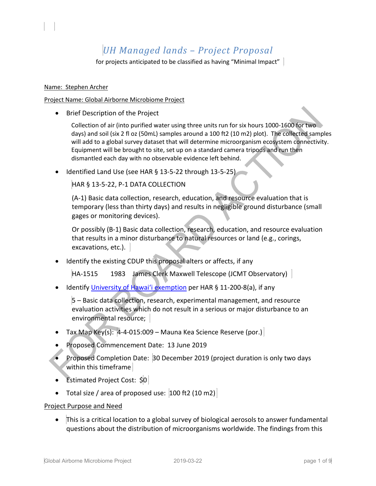# *UH Managed lands – Project Proposal*

for projects anticipated to be classified as having "Minimal Impact"

#### Name: Stephen Archer

l,

#### Project Name: Global Airborne Microbiome Project

• Brief Description of the Project

Collection of air (into purified water using three units run for six hours 1000-1600 for two days) and soil (six 2 fl oz (50mL) samples around a 100 ft2 (10 m2) plot). The collected samples will add to a global survey dataset that will determine microorganism ecosystem connectivity. Equipment will be brought to site, set up on a standard camera tripods and run then dismantled each day with no observable evidence left behind.

• Identified Land Use (see HAR § 13-5-22 through 13-5-25)

HAR § 13-5-22, P-1 DATA COLLECTION

(A-1) Basic data collection, research, education, and resource evaluation that is temporary (less than thirty days) and results in negligible ground disturbance (small gages or monitoring devices).

Or possibly (B-1) Basic data collection, research, education, and resource evaluation that results in a minor disturbance to natural resources or land (e.g., corings, excavations, etc.).

Identify the existing CDUP this proposal alters or affects, if any

HA-1515 1983 James Clerk Maxwell Telescope (JCMT Observatory)

• Identify University of Hawai'i exemption per HAR § 11-200-8(a), if any

5 – Basic data collection, research, experimental management, and resource evaluation activities which do not result in a serious or major disturbance to an environmental resource;

- Tax Map Key(s): 4-4-015:009 Mauna Kea Science Reserve (por.)
- Proposed Commencement Date: 13 June 2019
- Proposed Completion Date: 30 December 2019 (project duration is only two days within this timeframe
- Estimated Project Cost: \$0
- Total size / area of proposed use:  $|100 \text{ ft2 } (10 \text{ m2})|$

## Project Purpose and Need

• This is a critical location to a global survey of biological aerosols to answer fundamental questions about the distribution of microorganisms worldwide. The findings from this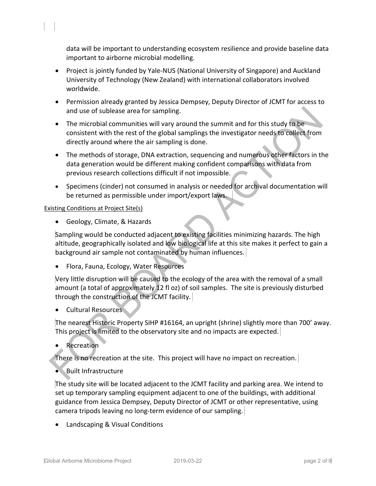data will be important to understanding ecosystem resilience and provide baseline data important to airborne microbial modelling.

- Project is jointly funded by Yale-NUS (National University of Singapore) and Auckland University of Technology (New Zealand) with international collaborators involved worldwide.
- Permission already granted by Jessica Dempsey, Deputy Director of JCMT for access to and use of sublease area for sampling.
- The microbial communities will vary around the summit and for this study to be consistent with the rest of the global samplings the investigator needs to collect from directly around where the air sampling is done.
- The methods of storage, DNA extraction, sequencing and numerous other factors in the data generation would be different making confident comparisons with data from previous research collections difficult if not impossible.
- Specimens (cinder) not consumed in analysis or needed for archival documentation will be returned as permissible under import/export laws.

## Existing Conditions at Project Site(s)

l,

• Geology, Climate, & Hazards

Sampling would be conducted adjacent to existing facilities minimizing hazards. The high altitude, geographically isolated and low biological life at this site makes it perfect to gain a background air sample not contaminated by human influences.

• Flora, Fauna, Ecology, Water Resources

Very little disruption will be caused to the ecology of the area with the removal of a small amount (a total of approximately 12 fl oz) of soil samples. The site is previously disturbed through the construction of the JCMT facility.

• Cultural Resources

The nearest Historic Property SIHP #16164, an upright (shrine) slightly more than 700' away. This project is limited to the observatory site and no impacts are expected.

• Recreation

There is no recreation at the site. This project will have no impact on recreation.

• Built Infrastructure

The study site will be located adjacent to the JCMT facility and parking area. We intend to set up temporary sampling equipment adjacent to one of the buildings, with additional guidance from Jessica Dempsey, Deputy Director of JCMT or other representative, using camera tripods leaving no long-term evidence of our sampling.

• Landscaping & Visual Conditions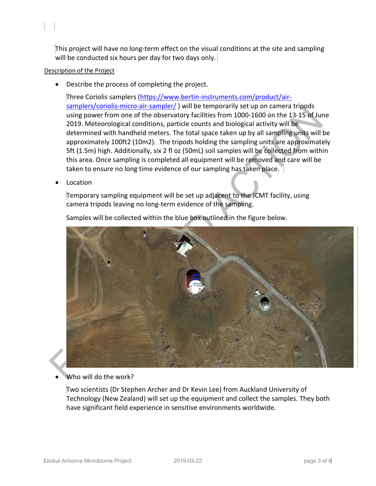This project will have no long-term effect on the visual conditions at the site and sampling will be conducted six hours per day for two days only.

#### Description of the Project

l,

• Describe the process of completing the project.

Three Coriolis samplers [\(https://www.bertin-instruments.com/product/air](https://www.bertin-instruments.com/product/air-samplers/coriolis-micro-air-sampler/)[samplers/coriolis-micro-air-sampler/](https://www.bertin-instruments.com/product/air-samplers/coriolis-micro-air-sampler/) ) will be temporarily set up on camera tripods using power from one of the observatory facilities from 1000-1600 on the 13-15 of June 2019. Meteorological conditions, particle counts and biological activity will be determined with handheld meters. The total space taken up by all sampling units will be approximately 100ft2 (10m2). The tripods holding the sampling units are approximately 5ft (1.5m) high. Additionally, six 2 fl oz (50mL) soil samples will be collected from within this area. Once sampling is completed all equipment will be removed and care will be taken to ensure no long time evidence of our sampling has taken place.

**Location** 

Temporary sampling equipment will be set up adjacent to the JCMT facility, using camera tripods leaving no long-term evidence of the sampling.



Samples will be collected within the blue box outlined in the figure below.

Who will do the work?

Two scientists (Dr Stephen Archer and Dr Kevin Lee) from Auckland University of Technology (New Zealand) will set up the equipment and collect the samples. They both have significant field experience in sensitive environments worldwide.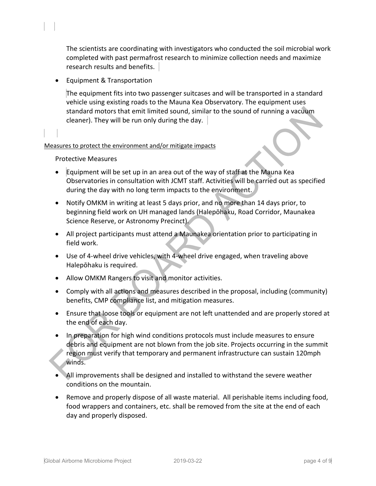The scientists are coordinating with investigators who conducted the soil microbial work completed with past permafrost research to minimize collection needs and maximize research results and benefits.

• Equipment & Transportation

The equipment fits into two passenger suitcases and will be transported in a standard vehicle using existing roads to the Mauna Kea Observatory. The equipment uses standard motors that emit limited sound, similar to the sound of running a vacuum cleaner). They will be run only during the day.

#### Measures to protect the environment and/or mitigate impacts

#### Protective Measures

l,

- Equipment will be set up in an area out of the way of staff at the Mauna Kea Observatories in consultation with JCMT staff. Activities will be carried out as specified during the day with no long term impacts to the environment.
- Notify OMKM in writing at least 5 days prior, and no more than 14 days prior, to beginning field work on UH managed lands (Halepōhaku, Road Corridor, Maunakea Science Reserve, or Astronomy Precinct).
- All project participants must attend a Maunakea orientation prior to participating in field work.
- Use of 4-wheel drive vehicles, with 4-wheel drive engaged, when traveling above Halepōhaku is required.
- Allow OMKM Rangers to visit and monitor activities.
- Comply with all actions and measures described in the proposal, including (community) benefits, CMP compliance list, and mitigation measures.
- Ensure that loose tools or equipment are not left unattended and are properly stored at the end of each day.
- In preparation for high wind conditions protocols must include measures to ensure debris and equipment are not blown from the job site. Projects occurring in the summit region must verify that temporary and permanent infrastructure can sustain 120mph winds.
- All improvements shall be designed and installed to withstand the severe weather conditions on the mountain.
- Remove and properly dispose of all waste material. All perishable items including food, food wrappers and containers, etc. shall be removed from the site at the end of each day and properly disposed.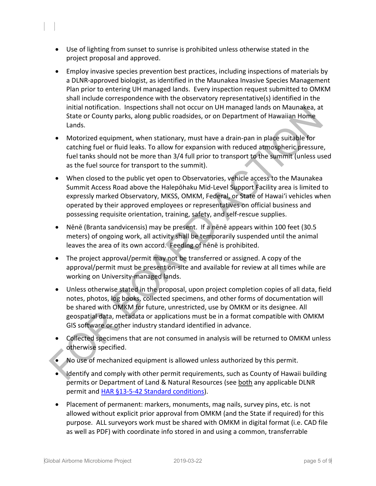- Use of lighting from sunset to sunrise is prohibited unless otherwise stated in the project proposal and approved.
- Employ invasive species prevention best practices, including inspections of materials by a DLNR-approved biologist, as identified in the Maunakea Invasive Species Management Plan prior to entering UH managed lands. Every inspection request submitted to OMKM shall include correspondence with the observatory representative(s) identified in the initial notification. Inspections shall not occur on UH managed lands on Maunakea, at State or County parks, along public roadsides, or on Department of Hawaiian Home Lands.
- Motorized equipment, when stationary, must have a drain-pan in place suitable for catching fuel or fluid leaks. To allow for expansion with reduced atmospheric pressure, fuel tanks should not be more than 3/4 full prior to transport to the summit (unless used as the fuel source for transport to the summit).
- When closed to the public yet open to Observatories, vehicle access to the Maunakea Summit Access Road above the Halepōhaku Mid-Level Support Facility area is limited to expressly marked Observatory, MKSS, OMKM, Federal, or State of Hawaiʻi vehicles when operated by their approved employees or representatives on official business and possessing requisite orientation, training, safety, and self-rescue supplies.
- Nēnē (Branta sandvicensis) may be present. If a nēnē appears within 100 feet (30.5 meters) of ongoing work, all activity shall be temporarily suspended until the animal leaves the area of its own accord. Feeding of nēnē is prohibited.
- The project approval/permit may not be transferred or assigned. A copy of the approval/permit must be present on-site and available for review at all times while are working on University-managed lands.
- Unless otherwise stated in the proposal, upon project completion copies of all data, field notes, photos, log books, collected specimens, and other forms of documentation will be shared with OMKM for future, unrestricted, use by OMKM or its designee. All geospatial data, metadata or applications must be in a format compatible with OMKM GIS software or other industry standard identified in advance.
- Collected specimens that are not consumed in analysis will be returned to OMKM unless otherwise specified.
- No use of mechanized equipment is allowed unless authorized by this permit.
- Identify and comply with other permit requirements, such as County of Hawaii building permits or Department of Land & Natural Resources (see both any applicable DLNR permit and **HAR §13-5-42 Standard conditions**).
- Placement of permanent: markers, monuments, mag nails, survey pins, etc. is not allowed without explicit prior approval from OMKM (and the State if required) for this purpose. ALL surveyors work must be shared with OMKM in digital format (i.e. CAD file as well as PDF) with coordinate info stored in and using a common, transferrable

l,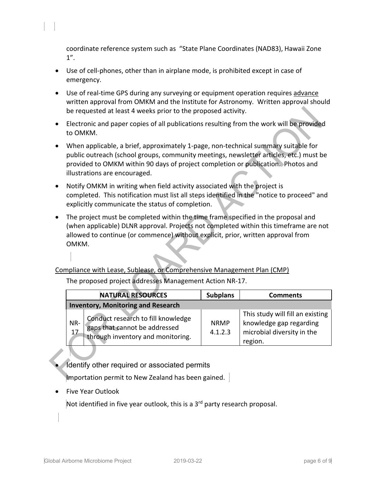coordinate reference system such as "State Plane Coordinates (NAD83), Hawaii Zone 1".

- Use of cell-phones, other than in airplane mode, is prohibited except in case of emergency.
- Use of real-time GPS during any surveying or equipment operation requires advance written approval from OMKM and the Institute for Astronomy. Written approval should be requested at least 4 weeks prior to the proposed activity.
- Electronic and paper copies of all publications resulting from the work will be provided to OMKM.
- When applicable, a brief, approximately 1-page, non-technical summary suitable for public outreach (school groups, community meetings, newsletter articles, etc.) must be provided to OMKM within 90 days of project completion or publication. Photos and illustrations are encouraged.
- Notify OMKM in writing when field activity associated with the project is completed. This notification must list all steps identified in the "notice to proceed" and explicitly communicate the status of completion.
- The project must be completed within the time frame specified in the proposal and (when applicable) DLNR approval. Projects not completed within this timeframe are not allowed to continue (or commence) without explicit, prior, written approval from OMKM.

## Compliance with Lease, Sublease, or Comprehensive Management Plan (CMP)

The proposed project addresses Management Action NR-17.

|                                           | <b>NATURAL RESOURCES</b>                                                                                 | <b>Subplans</b>        | <b>Comments</b>                                                                                      |
|-------------------------------------------|----------------------------------------------------------------------------------------------------------|------------------------|------------------------------------------------------------------------------------------------------|
| <b>Inventory, Monitoring and Research</b> |                                                                                                          |                        |                                                                                                      |
| NR-<br>17                                 | Conduct research to fill knowledge<br>gaps that cannot be addressed<br>through inventory and monitoring. | <b>NRMP</b><br>4.1.2.3 | This study will fill an existing<br>knowledge gap regarding<br>microbial diversity in the<br>region. |

# Identify other required or associated permits

Importation permit to New Zealand has been gained.

• Five Year Outlook

l,

Not identified in five year outlook, this is a 3<sup>rd</sup> party research proposal.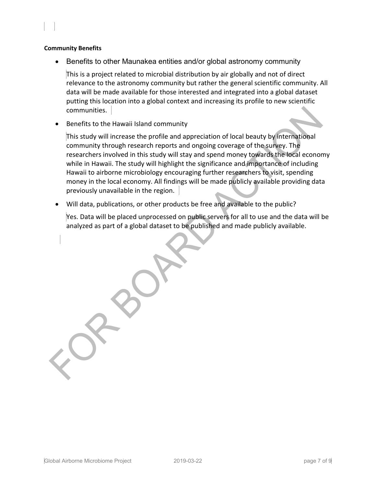#### **Community Benefits**

l,

• Benefits to other Maunakea entities and/or global astronomy community

This is a project related to microbial distribution by air globally and not of direct relevance to the astronomy community but rather the general scientific community. All data will be made available for those interested and integrated into a global dataset putting this location into a global context and increasing its profile to new scientific communities.

• Benefits to the Hawaii Island community

This study will increase the profile and appreciation of local beauty by international community through research reports and ongoing coverage of the survey. The researchers involved in this study will stay and spend money towards the local economy while in Hawaii. The study will highlight the significance and importance of including Hawaii to airborne microbiology encouraging further researchers to visit, spending money in the local economy. All findings will be made publicly available providing data previously unavailable in the region.

• Will data, publications, or other products be free and available to the public?

Yes. Data will be placed unprocessed on public servers for all to use and the data will be analyzed as part of a global dataset to be published and made publicly available.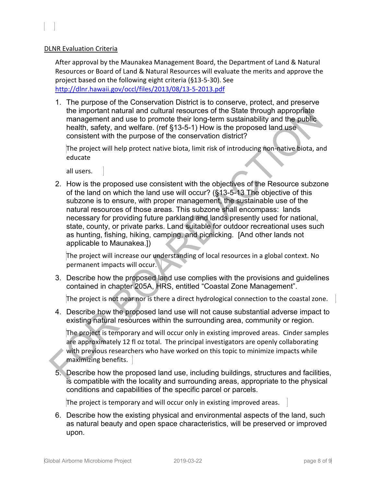#### DLNR Evaluation Criteria

l,

After approval by the Maunakea Management Board, the Department of Land & Natural Resources or Board of Land & Natural Resources will evaluate the merits and approve the project based on the following eight criteria (§13-5-30). See <http://dlnr.hawaii.gov/occl/files/2013/08/13-5-2013.pdf>

1. The purpose of the Conservation District is to conserve, protect, and preserve the important natural and cultural resources of the State through appropriate management and use to promote their long-term sustainability and the public health, safety, and welfare. (ref §13-5-1) How is the proposed land use consistent with the purpose of the conservation district?

The project will help protect native biota, limit risk of introducing non-native biota, and educate

all users.

2. How is the proposed use consistent with the objectives of the Resource subzone of the land on which the land use will occur? (§13-5-13 The objective of this subzone is to ensure, with proper management, the sustainable use of the natural resources of those areas. This subzone shall encompass: lands necessary for providing future parkland and lands presently used for national, state, county, or private parks. Land suitable for outdoor recreational uses such as hunting, fishing, hiking, camping, and picnicking. [And other lands not applicable to Maunakea.])

The project will increase our understanding of local resources in a global context. No permanent impacts will occur.

3. Describe how the proposed land use complies with the provisions and guidelines contained in chapter 205A, HRS, entitled "Coastal Zone Management".

The project is not near nor is there a direct hydrological connection to the coastal zone.

4. Describe how the proposed land use will not cause substantial adverse impact to existing natural resources within the surrounding area, community or region.

The project is temporary and will occur only in existing improved areas. Cinder samples are approximately 12 fl oz total. The principal investigators are openly collaborating with previous researchers who have worked on this topic to minimize impacts while maximizing benefits.

5. Describe how the proposed land use, including buildings, structures and facilities, is compatible with the locality and surrounding areas, appropriate to the physical conditions and capabilities of the specific parcel or parcels.

The project is temporary and will occur only in existing improved areas.

6. Describe how the existing physical and environmental aspects of the land, such as natural beauty and open space characteristics, will be preserved or improved upon.